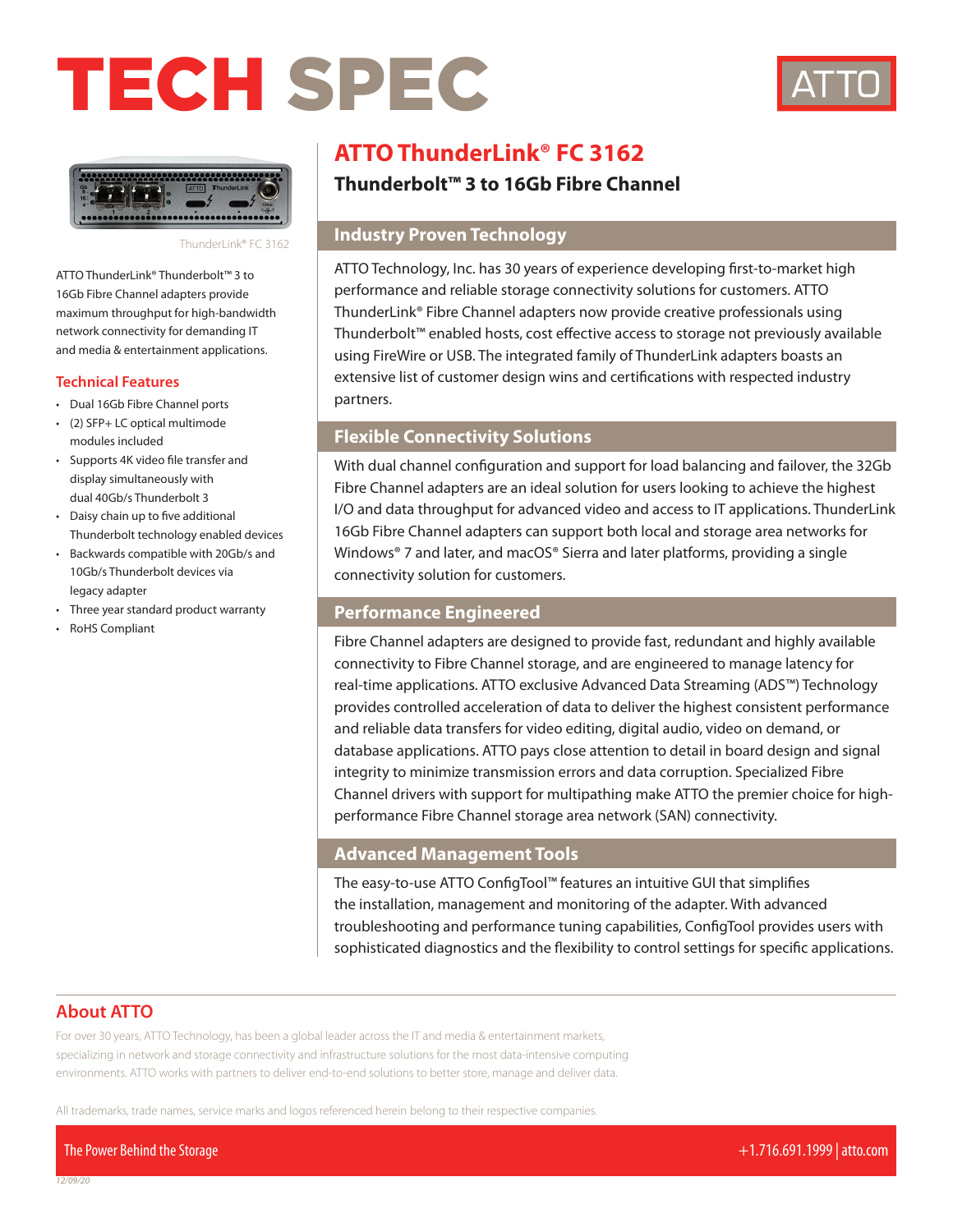# TECH SPEC





#### ThunderLink® FC 3162

ATTO ThunderLink® Thunderbolt™ 3 to 16Gb Fibre Channel adapters provide maximum throughput for high-bandwidth network connectivity for demanding IT and media & entertainment applications.

# **Technical Features**

- Dual 16Gb Fibre Channel ports
- (2) SFP+ LC optical multimode modules included
- Supports 4K video file transfer and display simultaneously with dual 40Gb/s Thunderbolt 3
- Daisy chain up to five additional Thunderbolt technology enabled devices
- Backwards compatible with 20Gb/s and 10Gb/s Thunderbolt devices via legacy adapter
- Three year standard product warranty
- RoHS Compliant

# **ATTO ThunderLink® FC 3162**

# **Thunderbolt™ 3 to 16Gb Fibre Channel**

# **Industry Proven Technology**

ATTO Technology, Inc. has 30 years of experience developing first-to-market high performance and reliable storage connectivity solutions for customers. ATTO ThunderLink® Fibre Channel adapters now provide creative professionals using Thunderbolt™ enabled hosts, cost effective access to storage not previously available using FireWire or USB. The integrated family of ThunderLink adapters boasts an extensive list of customer design wins and certifications with respected industry partners.

# **Flexible Connectivity Solutions**

With dual channel configuration and support for load balancing and failover, the 32Gb Fibre Channel adapters are an ideal solution for users looking to achieve the highest I/O and data throughput for advanced video and access to IT applications. ThunderLink 16Gb Fibre Channel adapters can support both local and storage area networks for Windows® 7 and later, and macOS® Sierra and later platforms, providing a single connectivity solution for customers.

# **Performance Engineered**

Fibre Channel adapters are designed to provide fast, redundant and highly available connectivity to Fibre Channel storage, and are engineered to manage latency for real-time applications. ATTO exclusive Advanced Data Streaming (ADS™) Technology provides controlled acceleration of data to deliver the highest consistent performance and reliable data transfers for video editing, digital audio, video on demand, or database applications. ATTO pays close attention to detail in board design and signal integrity to minimize transmission errors and data corruption. Specialized Fibre Channel drivers with support for multipathing make ATTO the premier choice for highperformance Fibre Channel storage area network (SAN) connectivity.

# **Advanced Management Tools**

The easy-to-use ATTO ConfigTool™ features an intuitive GUI that simplifies the installation, management and monitoring of the adapter. With advanced troubleshooting and performance tuning capabilities, ConfigTool provides users with sophisticated diagnostics and the flexibility to control settings for specific applications.

# **About ATTO**

For over 30 years, ATTO Technology, has been a global leader across the IT and media & entertainment markets, specializing in network and storage connectivity and infrastructure solutions for the most data-intensive computing environments. ATTO works with partners to deliver end-to-end solutions to better store, manage and deliver data.

All trademarks, trade names, service marks and logos referenced herein belong to their respective companies.

The Power Behind the Storage +1.716.691.1999 | atto.com